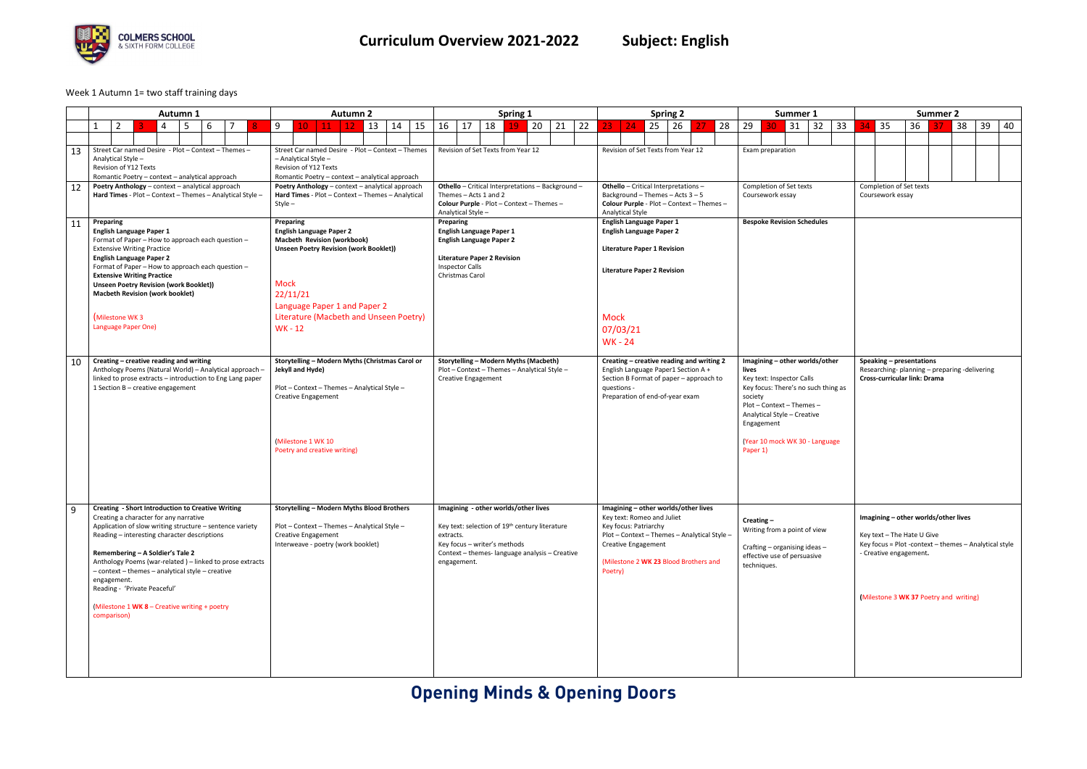# **Opening Minds & Opening Doors**



### Week 1 Autumn 1= two staff training days

|    | <b>Autumn 1</b>                                                                                                                                                                                                                                                                                                                                                                                                                                                                     | <b>Autumn 2</b>                                                                                                                                                                                                                                   | Spring 1                                                                                                                                                                                                         | <b>Spring 2</b>                                                                                                                                                                                                               | Summer 1                                                                                                                                                                                                                                       | Summer 2                                                                                                                                                                                        |
|----|-------------------------------------------------------------------------------------------------------------------------------------------------------------------------------------------------------------------------------------------------------------------------------------------------------------------------------------------------------------------------------------------------------------------------------------------------------------------------------------|---------------------------------------------------------------------------------------------------------------------------------------------------------------------------------------------------------------------------------------------------|------------------------------------------------------------------------------------------------------------------------------------------------------------------------------------------------------------------|-------------------------------------------------------------------------------------------------------------------------------------------------------------------------------------------------------------------------------|------------------------------------------------------------------------------------------------------------------------------------------------------------------------------------------------------------------------------------------------|-------------------------------------------------------------------------------------------------------------------------------------------------------------------------------------------------|
|    | $\overline{2}$<br>6<br>$\mathbf{1}$<br>5<br>4                                                                                                                                                                                                                                                                                                                                                                                                                                       | 9<br>14<br>15<br>$\vert$ 11<br>$\vert$ 13<br>$\vert$ 12<br>$10^{\circ}$                                                                                                                                                                           | 18<br>20<br>22<br>16<br>17<br>21<br>19                                                                                                                                                                           | 24<br>25<br>28<br>26<br>23.                                                                                                                                                                                                   | 33<br>29<br>32<br>31                                                                                                                                                                                                                           | 35<br>39<br>40<br>36<br>38                                                                                                                                                                      |
|    |                                                                                                                                                                                                                                                                                                                                                                                                                                                                                     |                                                                                                                                                                                                                                                   |                                                                                                                                                                                                                  |                                                                                                                                                                                                                               |                                                                                                                                                                                                                                                |                                                                                                                                                                                                 |
| 13 | Street Car named Desire - Plot - Context - Themes -<br>Analytical Style -<br>Revision of Y12 Texts<br>Romantic Poetry - context - analytical approach                                                                                                                                                                                                                                                                                                                               | Street Car named Desire - Plot - Context - Themes<br>$-$ Analytical Style $-$<br>Revision of Y12 Texts<br>Romantic Poetry - context - analytical approach                                                                                         | Revision of Set Texts from Year 12                                                                                                                                                                               | Revision of Set Texts from Year 12                                                                                                                                                                                            | Exam preparation                                                                                                                                                                                                                               |                                                                                                                                                                                                 |
| 12 | Poetry Anthology - context - analytical approach<br>Hard Times - Plot - Context - Themes - Analytical Style -                                                                                                                                                                                                                                                                                                                                                                       | Poetry Anthology - context - analytical approach<br>Hard Times - Plot - Context - Themes - Analytical<br>$Style -$                                                                                                                                | Othello - Critical Interpretations - Background -<br>Themes - Acts 1 and 2<br>Colour Purple - Plot - Context - Themes -<br>Analytical Style -                                                                    | <b>Othello</b> - Critical Interpretations -<br>Background - Themes - Acts $3 - 5$<br>Colour Purple - Plot - Context - Themes -<br><b>Analytical Style</b>                                                                     | Completion of Set texts<br>Coursework essay                                                                                                                                                                                                    | Completion of Set texts<br>Coursework essay                                                                                                                                                     |
| 11 | Preparing<br>English Language Paper 1<br>Format of Paper - How to approach each question -<br><b>Extensive Writing Practice</b><br><b>English Language Paper 2</b><br>Format of Paper - How to approach each question -<br><b>Extensive Writing Practice</b><br><b>Unseen Poetry Revision (work Booklet))</b><br><b>Macbeth Revision (work booklet)</b><br>(Milestone WK 3<br>Language Paper One)                                                                                   | Preparing<br><b>English Language Paper 2</b><br>Macbeth Revision (workbook)<br><b>Unseen Poetry Revision (work Booklet))</b><br><b>Mock</b><br>22/11/21<br>Language Paper 1 and Paper 2<br>Literature (Macbeth and Unseen Poetry)<br><b>WK-12</b> | Preparing<br><b>English Language Paper 1</b><br><b>English Language Paper 2</b><br><b>Literature Paper 2 Revision</b><br><b>Inspector Calls</b><br>Christmas Carol                                               | <b>English Language Paper 1</b><br><b>English Language Paper 2</b><br><b>Literature Paper 1 Revision</b><br><b>Literature Paper 2 Revision</b><br><b>Mock</b><br>07/03/21<br><b>WK-24</b>                                     | <b>Bespoke Revision Schedules</b>                                                                                                                                                                                                              |                                                                                                                                                                                                 |
| 10 | Creating - creative reading and writing<br>Anthology Poems (Natural World) - Analytical approach -<br>linked to prose extracts - introduction to Eng Lang paper<br>1 Section B - creative engagement                                                                                                                                                                                                                                                                                | Storytelling - Modern Myths (Christmas Carol or<br>Jekyll and Hyde)<br>Plot - Context - Themes - Analytical Style -<br><b>Creative Engagement</b><br>(Milestone 1 WK 10)<br>Poetry and creative writing)                                          | <b>Storytelling - Modern Myths (Macbeth)</b><br>Plot - Context - Themes - Analytical Style -<br><b>Creative Engagement</b>                                                                                       | Creating - creative reading and writing 2<br>English Language Paper1 Section A +<br>Section B Format of paper - approach to<br>questions -<br>Preparation of end-of-year exam                                                 | Imagining - other worlds/other<br>lives<br>Key text: Inspector Calls<br>Key focus: There's no such thing as<br>society<br>Plot - Context - Themes -<br>Analytical Style - Creative<br>Engagement<br>(Year 10 mock WK 30 - Language<br>Paper 1) | Speaking - presentations<br>Researching-planning - preparing-delivering<br>Cross-curricular link: Drama                                                                                         |
| 9  | <b>Creating - Short Introduction to Creative Writing</b><br>Creating a character for any narrative<br>Application of slow writing structure - sentence variety<br>Reading – interesting character descriptions<br>Remembering - A Soldier's Tale 2<br>Anthology Poems (war-related) - linked to prose extracts<br>- context - themes - analytical style - creative<br>engagement.<br>Reading - 'Private Peaceful'<br>(Milestone $1$ WK 8 – Creative writing + poetry<br>comparison) | <b>Storytelling - Modern Myths Blood Brothers</b><br>Plot - Context - Themes - Analytical Style -<br><b>Creative Engagement</b><br>Interweave - poetry (work booklet)                                                                             | Imagining - other worlds/other lives<br>Key text: selection of 19 <sup>th</sup> century literature<br>extracts.<br>Key focus – writer's methods<br>Context - themes- language analysis - Creative<br>engagement. | Imagining - other worlds/other lives<br>Key text: Romeo and Juliet<br>Key focus: Patriarchy<br>Plot - Context - Themes - Analytical Style -<br><b>Creative Engagement</b><br>(Milestone 2 WK 23 Blood Brothers and<br>Poetry) | Creating-<br>Writing from a point of view<br>Crafting – organising ideas –<br>effective use of persuasive<br>techniques.                                                                                                                       | Imagining - other worlds/other lives<br>Key text - The Hate U Give<br>Key focus = Plot -context - themes - Analytical style<br>- Creative engagement.<br>(Milestone 3 WK 37 Poetry and writing) |

| $\mathbf{1}$        |    | <b>Summer 2</b>                                                         |                                                       |    |                 |    |    |    |  |
|---------------------|----|-------------------------------------------------------------------------|-------------------------------------------------------|----|-----------------|----|----|----|--|
| 32                  | 33 | 34                                                                      | 35                                                    | 36 | $\overline{37}$ | 38 | 39 | 40 |  |
|                     |    |                                                                         |                                                       |    |                 |    |    |    |  |
|                     |    |                                                                         |                                                       |    |                 |    |    |    |  |
|                     |    |                                                                         |                                                       |    |                 |    |    |    |  |
|                     |    |                                                                         |                                                       |    |                 |    |    |    |  |
|                     |    |                                                                         | Completion of Set texts<br>Coursework essay           |    |                 |    |    |    |  |
|                     |    |                                                                         |                                                       |    |                 |    |    |    |  |
| lules               |    |                                                                         |                                                       |    |                 |    |    |    |  |
|                     |    |                                                                         |                                                       |    |                 |    |    |    |  |
|                     |    |                                                                         |                                                       |    |                 |    |    |    |  |
|                     |    |                                                                         |                                                       |    |                 |    |    |    |  |
|                     |    |                                                                         |                                                       |    |                 |    |    |    |  |
|                     |    |                                                                         |                                                       |    |                 |    |    |    |  |
|                     |    |                                                                         |                                                       |    |                 |    |    |    |  |
|                     |    |                                                                         |                                                       |    |                 |    |    |    |  |
|                     |    |                                                                         |                                                       |    |                 |    |    |    |  |
|                     |    |                                                                         |                                                       |    |                 |    |    |    |  |
| ls/other            |    |                                                                         |                                                       |    |                 |    |    |    |  |
|                     |    | Speaking - presentations<br>Researching-planning - preparing-delivering |                                                       |    |                 |    |    |    |  |
| ch thing as         |    |                                                                         | Cross-curricular link: Drama                          |    |                 |    |    |    |  |
|                     |    |                                                                         |                                                       |    |                 |    |    |    |  |
| $\frac{1}{2}$<br>/e |    |                                                                         |                                                       |    |                 |    |    |    |  |
|                     |    |                                                                         |                                                       |    |                 |    |    |    |  |
| anguage.            |    |                                                                         |                                                       |    |                 |    |    |    |  |
|                     |    |                                                                         |                                                       |    |                 |    |    |    |  |
|                     |    |                                                                         |                                                       |    |                 |    |    |    |  |
|                     |    |                                                                         |                                                       |    |                 |    |    |    |  |
|                     |    |                                                                         |                                                       |    |                 |    |    |    |  |
|                     |    |                                                                         |                                                       |    |                 |    |    |    |  |
|                     |    |                                                                         | Imagining – other worlds/other lives                  |    |                 |    |    |    |  |
| view                |    |                                                                         | Key text - The Hate U Give                            |    |                 |    |    |    |  |
| as –                |    |                                                                         | Key focus = Plot -context - themes - Analytical style |    |                 |    |    |    |  |
| ive                 |    |                                                                         | - Creative engagement.                                |    |                 |    |    |    |  |
|                     |    |                                                                         |                                                       |    |                 |    |    |    |  |
|                     |    |                                                                         |                                                       |    |                 |    |    |    |  |
|                     |    |                                                                         | (Milestone 3 WK 37 Poetry and writing)                |    |                 |    |    |    |  |
|                     |    |                                                                         |                                                       |    |                 |    |    |    |  |
|                     |    |                                                                         |                                                       |    |                 |    |    |    |  |
|                     |    |                                                                         |                                                       |    |                 |    |    |    |  |
|                     |    |                                                                         |                                                       |    |                 |    |    |    |  |
|                     |    |                                                                         |                                                       |    |                 |    |    |    |  |